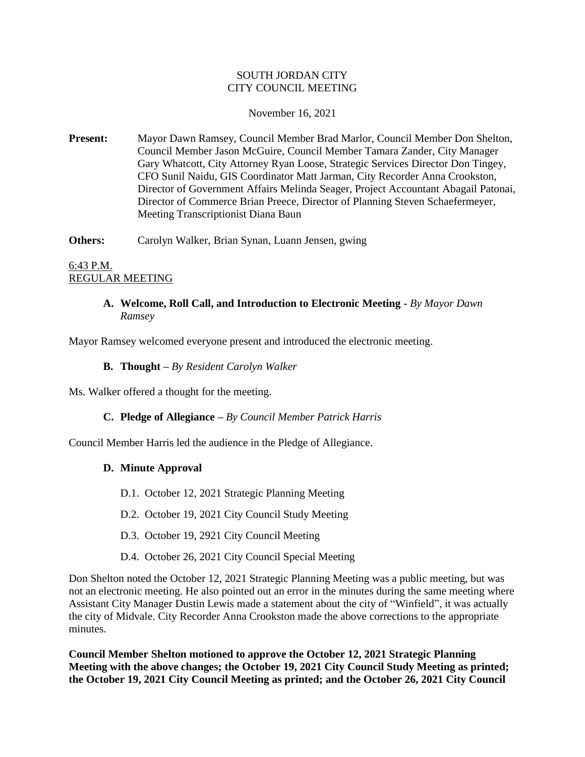# SOUTH JORDAN CITY CITY COUNCIL MEETING

#### November 16, 2021

**Present:** Mayor Dawn Ramsey, Council Member Brad Marlor, Council Member Don Shelton, Council Member Jason McGuire, Council Member Tamara Zander, City Manager Gary Whatcott, City Attorney Ryan Loose, Strategic Services Director Don Tingey, CFO Sunil Naidu, GIS Coordinator Matt Jarman, City Recorder Anna Crookston, Director of Government Affairs Melinda Seager, Project Accountant Abagail Patonai, Director of Commerce Brian Preece, Director of Planning Steven Schaefermeyer, Meeting Transcriptionist Diana Baun

**Others:** Carolyn Walker, Brian Synan, Luann Jensen, gwing

6:43 P.M. REGULAR MEETING

# **A. Welcome, Roll Call, and Introduction to Electronic Meeting -** *By Mayor Dawn Ramsey*

Mayor Ramsey welcomed everyone present and introduced the electronic meeting.

## **B. Thought –** *By Resident Carolyn Walker*

Ms. Walker offered a thought for the meeting.

# **C. Pledge of Allegiance –** *By Council Member Patrick Harris*

Council Member Harris led the audience in the Pledge of Allegiance.

#### **D. Minute Approval**

- D.1. October 12, 2021 Strategic Planning Meeting
- D.2. October 19, 2021 City Council Study Meeting
- D.3. October 19, 2921 City Council Meeting
- D.4. October 26, 2021 City Council Special Meeting

Don Shelton noted the October 12, 2021 Strategic Planning Meeting was a public meeting, but was not an electronic meeting. He also pointed out an error in the minutes during the same meeting where Assistant City Manager Dustin Lewis made a statement about the city of "Winfield", it was actually the city of Midvale. City Recorder Anna Crookston made the above corrections to the appropriate minutes.

**Council Member Shelton motioned to approve the October 12, 2021 Strategic Planning Meeting with the above changes; the October 19, 2021 City Council Study Meeting as printed; the October 19, 2021 City Council Meeting as printed; and the October 26, 2021 City Council**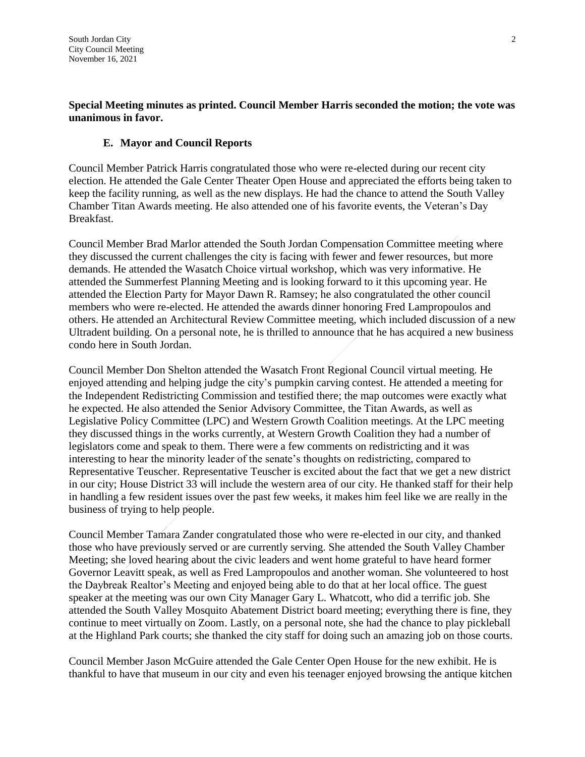# **Special Meeting minutes as printed. Council Member Harris seconded the motion; the vote was unanimous in favor.**

## **E. Mayor and Council Reports**

Council Member Patrick Harris congratulated those who were re-elected during our recent city election. He attended the Gale Center Theater Open House and appreciated the efforts being taken to keep the facility running, as well as the new displays. He had the chance to attend the South Valley Chamber Titan Awards meeting. He also attended one of his favorite events, the Veteran's Day Breakfast.

Council Member Brad Marlor attended the South Jordan Compensation Committee meeting where they discussed the current challenges the city is facing with fewer and fewer resources, but more demands. He attended the Wasatch Choice virtual workshop, which was very informative. He attended the Summerfest Planning Meeting and is looking forward to it this upcoming year. He attended the Election Party for Mayor Dawn R. Ramsey; he also congratulated the other council members who were re-elected. He attended the awards dinner honoring Fred Lampropoulos and others. He attended an Architectural Review Committee meeting, which included discussion of a new Ultradent building. On a personal note, he is thrilled to announce that he has acquired a new business condo here in South Jordan.

Council Member Don Shelton attended the Wasatch Front Regional Council virtual meeting. He enjoyed attending and helping judge the city's pumpkin carving contest. He attended a meeting for the Independent Redistricting Commission and testified there; the map outcomes were exactly what he expected. He also attended the Senior Advisory Committee, the Titan Awards, as well as Legislative Policy Committee (LPC) and Western Growth Coalition meetings. At the LPC meeting they discussed things in the works currently, at Western Growth Coalition they had a number of legislators come and speak to them. There were a few comments on redistricting and it was interesting to hear the minority leader of the senate's thoughts on redistricting, compared to Representative Teuscher. Representative Teuscher is excited about the fact that we get a new district in our city; House District 33 will include the western area of our city. He thanked staff for their help in handling a few resident issues over the past few weeks, it makes him feel like we are really in the business of trying to help people.

Council Member Tamara Zander congratulated those who were re-elected in our city, and thanked those who have previously served or are currently serving. She attended the South Valley Chamber Meeting; she loved hearing about the civic leaders and went home grateful to have heard former Governor Leavitt speak, as well as Fred Lampropoulos and another woman. She volunteered to host the Daybreak Realtor's Meeting and enjoyed being able to do that at her local office. The guest speaker at the meeting was our own City Manager Gary L. Whatcott, who did a terrific job. She attended the South Valley Mosquito Abatement District board meeting; everything there is fine, they continue to meet virtually on Zoom. Lastly, on a personal note, she had the chance to play pickleball at the Highland Park courts; she thanked the city staff for doing such an amazing job on those courts.

Council Member Jason McGuire attended the Gale Center Open House for the new exhibit. He is thankful to have that museum in our city and even his teenager enjoyed browsing the antique kitchen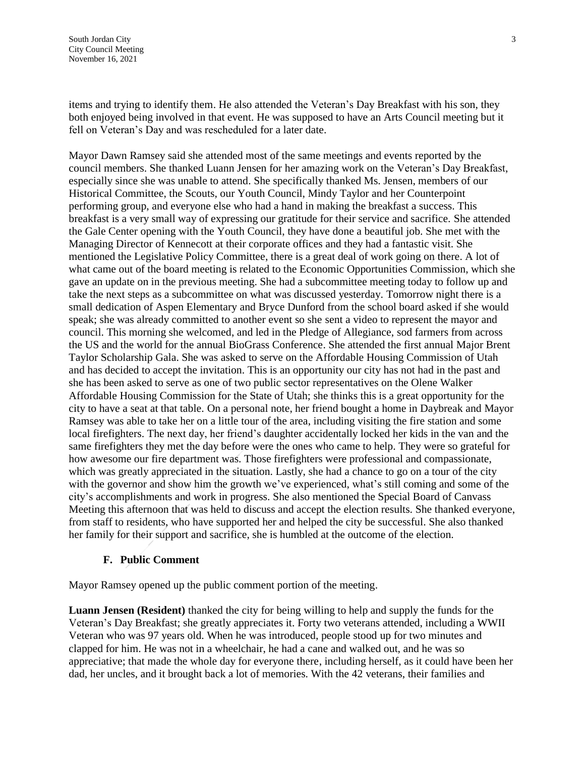items and trying to identify them. He also attended the Veteran's Day Breakfast with his son, they both enjoyed being involved in that event. He was supposed to have an Arts Council meeting but it fell on Veteran's Day and was rescheduled for a later date.

Mayor Dawn Ramsey said she attended most of the same meetings and events reported by the council members. She thanked Luann Jensen for her amazing work on the Veteran's Day Breakfast, especially since she was unable to attend. She specifically thanked Ms. Jensen, members of our Historical Committee, the Scouts, our Youth Council, Mindy Taylor and her Counterpoint performing group, and everyone else who had a hand in making the breakfast a success. This breakfast is a very small way of expressing our gratitude for their service and sacrifice. She attended the Gale Center opening with the Youth Council, they have done a beautiful job. She met with the Managing Director of Kennecott at their corporate offices and they had a fantastic visit. She mentioned the Legislative Policy Committee, there is a great deal of work going on there. A lot of what came out of the board meeting is related to the Economic Opportunities Commission, which she gave an update on in the previous meeting. She had a subcommittee meeting today to follow up and take the next steps as a subcommittee on what was discussed yesterday. Tomorrow night there is a small dedication of Aspen Elementary and Bryce Dunford from the school board asked if she would speak; she was already committed to another event so she sent a video to represent the mayor and council. This morning she welcomed, and led in the Pledge of Allegiance, sod farmers from across the US and the world for the annual BioGrass Conference. She attended the first annual Major Brent Taylor Scholarship Gala. She was asked to serve on the Affordable Housing Commission of Utah and has decided to accept the invitation. This is an opportunity our city has not had in the past and she has been asked to serve as one of two public sector representatives on the Olene Walker Affordable Housing Commission for the State of Utah; she thinks this is a great opportunity for the city to have a seat at that table. On a personal note, her friend bought a home in Daybreak and Mayor Ramsey was able to take her on a little tour of the area, including visiting the fire station and some local firefighters. The next day, her friend's daughter accidentally locked her kids in the van and the same firefighters they met the day before were the ones who came to help. They were so grateful for how awesome our fire department was. Those firefighters were professional and compassionate, which was greatly appreciated in the situation. Lastly, she had a chance to go on a tour of the city with the governor and show him the growth we've experienced, what's still coming and some of the city's accomplishments and work in progress. She also mentioned the Special Board of Canvass Meeting this afternoon that was held to discuss and accept the election results. She thanked everyone, from staff to residents, who have supported her and helped the city be successful. She also thanked her family for their support and sacrifice, she is humbled at the outcome of the election.

#### **F. Public Comment**

Mayor Ramsey opened up the public comment portion of the meeting.

**Luann Jensen (Resident)** thanked the city for being willing to help and supply the funds for the Veteran's Day Breakfast; she greatly appreciates it. Forty two veterans attended, including a WWII Veteran who was 97 years old. When he was introduced, people stood up for two minutes and clapped for him. He was not in a wheelchair, he had a cane and walked out, and he was so appreciative; that made the whole day for everyone there, including herself, as it could have been her dad, her uncles, and it brought back a lot of memories. With the 42 veterans, their families and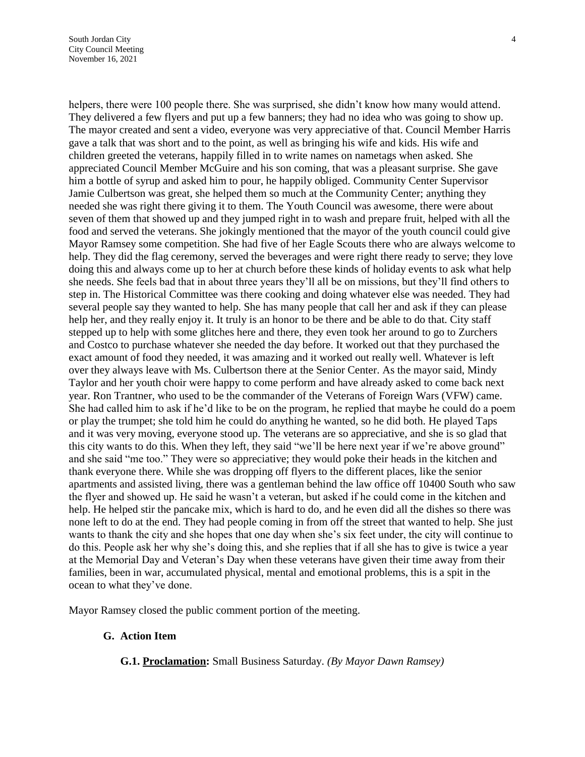helpers, there were 100 people there. She was surprised, she didn't know how many would attend. They delivered a few flyers and put up a few banners; they had no idea who was going to show up. The mayor created and sent a video, everyone was very appreciative of that. Council Member Harris gave a talk that was short and to the point, as well as bringing his wife and kids. His wife and children greeted the veterans, happily filled in to write names on nametags when asked. She appreciated Council Member McGuire and his son coming, that was a pleasant surprise. She gave him a bottle of syrup and asked him to pour, he happily obliged. Community Center Supervisor Jamie Culbertson was great, she helped them so much at the Community Center; anything they needed she was right there giving it to them. The Youth Council was awesome, there were about seven of them that showed up and they jumped right in to wash and prepare fruit, helped with all the food and served the veterans. She jokingly mentioned that the mayor of the youth council could give Mayor Ramsey some competition. She had five of her Eagle Scouts there who are always welcome to help. They did the flag ceremony, served the beverages and were right there ready to serve; they love doing this and always come up to her at church before these kinds of holiday events to ask what help she needs. She feels bad that in about three years they'll all be on missions, but they'll find others to step in. The Historical Committee was there cooking and doing whatever else was needed. They had several people say they wanted to help. She has many people that call her and ask if they can please help her, and they really enjoy it. It truly is an honor to be there and be able to do that. City staff stepped up to help with some glitches here and there, they even took her around to go to Zurchers and Costco to purchase whatever she needed the day before. It worked out that they purchased the exact amount of food they needed, it was amazing and it worked out really well. Whatever is left over they always leave with Ms. Culbertson there at the Senior Center. As the mayor said, Mindy Taylor and her youth choir were happy to come perform and have already asked to come back next year. Ron Trantner, who used to be the commander of the Veterans of Foreign Wars (VFW) came. She had called him to ask if he'd like to be on the program, he replied that maybe he could do a poem or play the trumpet; she told him he could do anything he wanted, so he did both. He played Taps and it was very moving, everyone stood up. The veterans are so appreciative, and she is so glad that this city wants to do this. When they left, they said "we'll be here next year if we're above ground" and she said "me too." They were so appreciative; they would poke their heads in the kitchen and thank everyone there. While she was dropping off flyers to the different places, like the senior apartments and assisted living, there was a gentleman behind the law office off 10400 South who saw the flyer and showed up. He said he wasn't a veteran, but asked if he could come in the kitchen and help. He helped stir the pancake mix, which is hard to do, and he even did all the dishes so there was none left to do at the end. They had people coming in from off the street that wanted to help. She just wants to thank the city and she hopes that one day when she's six feet under, the city will continue to do this. People ask her why she's doing this, and she replies that if all she has to give is twice a year at the Memorial Day and Veteran's Day when these veterans have given their time away from their families, been in war, accumulated physical, mental and emotional problems, this is a spit in the ocean to what they've done.

Mayor Ramsey closed the public comment portion of the meeting.

#### **G. Action Item**

**G.1. Proclamation:** Small Business Saturday. *(By Mayor Dawn Ramsey)*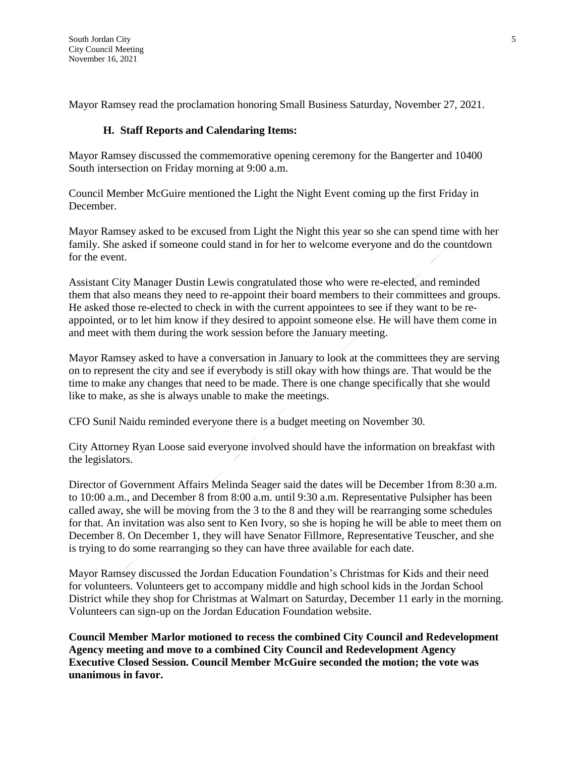Mayor Ramsey read the proclamation honoring Small Business Saturday, November 27, 2021.

# **H. Staff Reports and Calendaring Items:**

Mayor Ramsey discussed the commemorative opening ceremony for the Bangerter and 10400 South intersection on Friday morning at 9:00 a.m.

Council Member McGuire mentioned the Light the Night Event coming up the first Friday in December.

Mayor Ramsey asked to be excused from Light the Night this year so she can spend time with her family. She asked if someone could stand in for her to welcome everyone and do the countdown for the event.

Assistant City Manager Dustin Lewis congratulated those who were re-elected, and reminded them that also means they need to re-appoint their board members to their committees and groups. He asked those re-elected to check in with the current appointees to see if they want to be reappointed, or to let him know if they desired to appoint someone else. He will have them come in and meet with them during the work session before the January meeting.

Mayor Ramsey asked to have a conversation in January to look at the committees they are serving on to represent the city and see if everybody is still okay with how things are. That would be the time to make any changes that need to be made. There is one change specifically that she would like to make, as she is always unable to make the meetings.

CFO Sunil Naidu reminded everyone there is a budget meeting on November 30.

City Attorney Ryan Loose said everyone involved should have the information on breakfast with the legislators.

Director of Government Affairs Melinda Seager said the dates will be December 1from 8:30 a.m. to 10:00 a.m., and December 8 from 8:00 a.m. until 9:30 a.m. Representative Pulsipher has been called away, she will be moving from the 3 to the 8 and they will be rearranging some schedules for that. An invitation was also sent to Ken Ivory, so she is hoping he will be able to meet them on December 8. On December 1, they will have Senator Fillmore, Representative Teuscher, and she is trying to do some rearranging so they can have three available for each date.

Mayor Ramsey discussed the Jordan Education Foundation's Christmas for Kids and their need for volunteers. Volunteers get to accompany middle and high school kids in the Jordan School District while they shop for Christmas at Walmart on Saturday, December 11 early in the morning. Volunteers can sign-up on the Jordan Education Foundation website.

**Council Member Marlor motioned to recess the combined City Council and Redevelopment Agency meeting and move to a combined City Council and Redevelopment Agency Executive Closed Session. Council Member McGuire seconded the motion; the vote was unanimous in favor.**